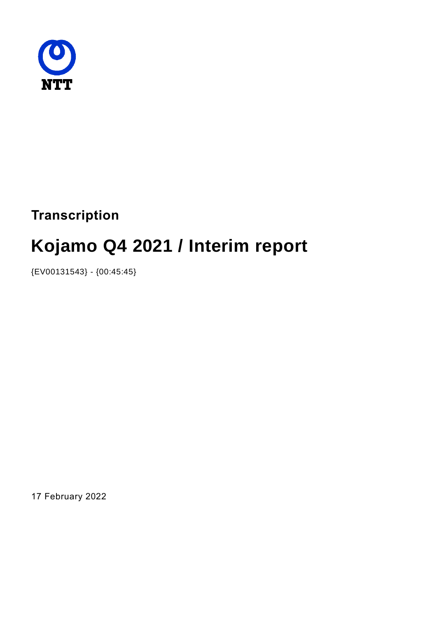

# **Transcription**

# **Kojamo Q4 2021 / Interim report**

{EV00131543} - {00:45:45}

17 February 2022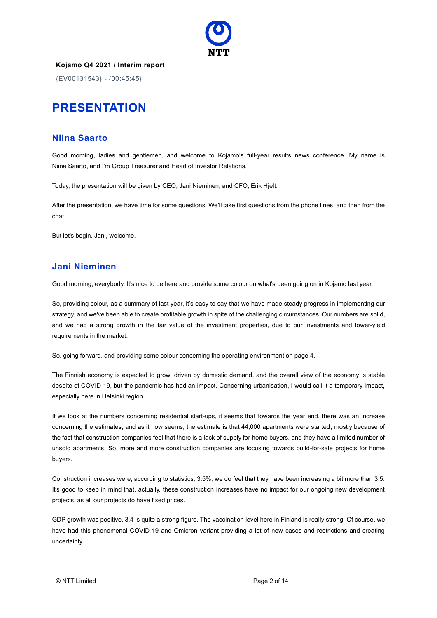

{EV00131543} - {00:45:45}

# **PRESENTATION**

#### **Niina Saarto**

Good morning, ladies and gentlemen, and welcome to Kojamo's full-year results news conference. My name is Niina Saarto, and I'm Group Treasurer and Head of Investor Relations.

Today, the presentation will be given by CEO, Jani Nieminen, and CFO, Erik Hjelt.

After the presentation, we have time for some questions. We'll take first questions from the phone lines, and then from the chat.

But let's begin. Jani, welcome.

#### **Jani Nieminen**

Good morning, everybody. It's nice to be here and provide some colour on what's been going on in Kojamo last year.

So, providing colour, as a summary of last year, it's easy to say that we have made steady progress in implementing our strategy, and we've been able to create profitable growth in spite of the challenging circumstances. Our numbers are solid, and we had a strong growth in the fair value of the investment properties, due to our investments and lower-yield requirements in the market.

So, going forward, and providing some colour concerning the operating environment on page 4.

The Finnish economy is expected to grow, driven by domestic demand, and the overall view of the economy is stable despite of COVID-19, but the pandemic has had an impact. Concerning urbanisation, I would call it a temporary impact, especially here in Helsinki region.

If we look at the numbers concerning residential start-ups, it seems that towards the year end, there was an increase concerning the estimates, and as it now seems, the estimate is that 44,000 apartments were started, mostly because of the fact that construction companies feel that there is a lack of supply for home buyers, and they have a limited number of unsold apartments. So, more and more construction companies are focusing towards build-for-sale projects for home buyers.

Construction increases were, according to statistics, 3.5%; we do feel that they have been increasing a bit more than 3.5. It's good to keep in mind that, actually, these construction increases have no impact for our ongoing new development projects, as all our projects do have fixed prices.

GDP growth was positive. 3.4 is quite a strong figure. The vaccination level here in Finland is really strong. Of course, we have had this phenomenal COVID-19 and Omicron variant providing a lot of new cases and restrictions and creating uncertainty.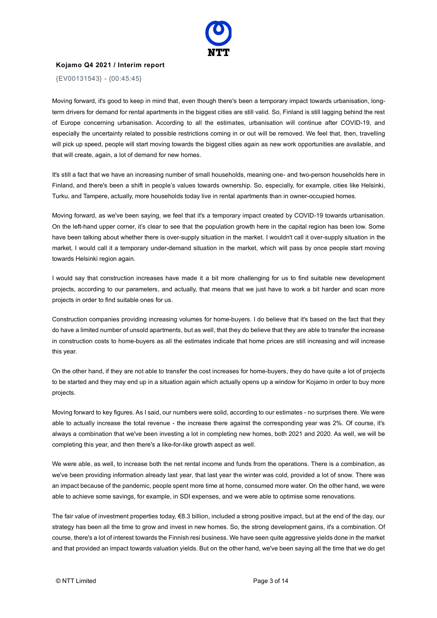

{EV00131543} - {00:45:45}

Moving forward, it's good to keep in mind that, even though there's been a temporary impact towards urbanisation, longterm drivers for demand for rental apartments in the biggest cities are still valid. So, Finland is still lagging behind the rest of Europe concerning urbanisation. According to all the estimates, urbanisation will continue after COVID-19, and especially the uncertainty related to possible restrictions coming in or out will be removed. We feel that, then, travelling will pick up speed, people will start moving towards the biggest cities again as new work opportunities are available, and that will create, again, a lot of demand for new homes.

It's still a fact that we have an increasing number of small households, meaning one- and two-person households here in Finland, and there's been a shift in people's values towards ownership. So, especially, for example, cities like Helsinki, Turku, and Tampere, actually, more households today live in rental apartments than in owner-occupied homes.

Moving forward, as we've been saying, we feel that it's a temporary impact created by COVID-19 towards urbanisation. On the left-hand upper corner, it's clear to see that the population growth here in the capital region has been low. Some have been talking about whether there is over-supply situation in the market. I wouldn't call it over-supply situation in the market, I would call it a temporary under-demand situation in the market, which will pass by once people start moving towards Helsinki region again.

I would say that construction increases have made it a bit more challenging for us to find suitable new development projects, according to our parameters, and actually, that means that we just have to work a bit harder and scan more projects in order to find suitable ones for us.

Construction companies providing increasing volumes for home-buyers. I do believe that it's based on the fact that they do have a limited number of unsold apartments, but as well, that they do believe that they are able to transfer the increase in construction costs to home-buyers as all the estimates indicate that home prices are still increasing and will increase this year.

On the other hand, if they are not able to transfer the cost increases for home-buyers, they do have quite a lot of projects to be started and they may end up in a situation again which actually opens up a window for Kojamo in order to buy more projects.

Moving forward to key figures. As I said, our numbers were solid, according to our estimates - no surprises there. We were able to actually increase the total revenue - the increase there against the corresponding year was 2%. Of course, it's always a combination that we've been investing a lot in completing new homes, both 2021 and 2020. As well, we will be completing this year, and then there's a like-for-like growth aspect as well.

We were able, as well, to increase both the net rental income and funds from the operations. There is a combination, as we've been providing information already last year, that last year the winter was cold, provided a lot of snow. There was an impact because of the pandemic, people spent more time at home, consumed more water. On the other hand, we were able to achieve some savings, for example, in SDI expenses, and we were able to optimise some renovations.

The fair value of investment properties today,  $\epsilon$ 8.3 billion, included a strong positive impact, but at the end of the day, our strategy has been all the time to grow and invest in new homes. So, the strong development gains, it's a combination. Of course, there's a lot of interest towards the Finnish resi business. We have seen quite aggressive yields done in the market and that provided an impact towards valuation yields. But on the other hand, we've been saying all the time that we do get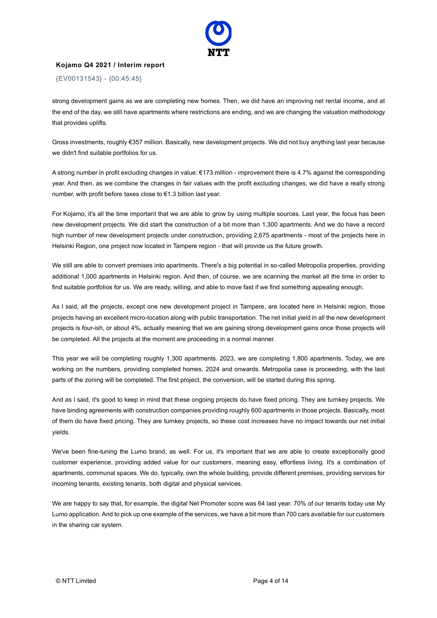

{EV00131543} - {00:45:45}

strong development gains as we are completing new homes. Then, we did have an improving net rental income, and at the end of the day, we still have apartments where restrictions are ending, and we are changing the valuation methodology that provides uplifts.

Gross investments, roughly €357 million. Basically, new development projects. We did not buy anything last year because we didn't find suitable portfolios for us.

A strong number in profit excluding changes in value: €173 million - improvement there is 4.7% against the corresponding year. And then, as we combine the changes in fair values with the profit excluding changes, we did have a really strong number, with profit before taxes close to €1.3 billion last year.

For Kojamo, it's all the time important that we are able to grow by using multiple sources. Last year, the focus has been new development projects. We did start the construction of a bit more than 1,300 apartments. And we do have a record high number of new development projects under construction, providing 2,675 apartments - most of the projects here in Helsinki Region, one project now located in Tampere region - that will provide us the future growth.

We still are able to convert premises into apartments. There's a big potential in so-called Metropolia properties, providing additional 1,000 apartments in Helsinki region. And then, of course, we are scanning the market all the time in order to find suitable portfolios for us. We are ready, willing, and able to move fast if we find something appealing enough.

As I said, all the projects, except one new development project in Tampere, are located here in Helsinki region, those projects having an excellent micro-location along with public transportation. The net initial yield in all the new development projects is four-ish, or about 4%, actually meaning that we are gaining strong development gains once those projects will be completed. All the projects at the moment are proceeding in a normal manner.

This year we will be completing roughly 1,300 apartments. 2023, we are completing 1,800 apartments. Today, we are working on the numbers, providing completed homes, 2024 and onwards. Metropolia case is proceeding, with the last parts of the zoning will be completed. The first project, the conversion, will be started during this spring.

And as I said, it's good to keep in mind that these ongoing projects do have fixed pricing. They are turnkey projects. We have binding agreements with construction companies providing roughly 600 apartments in those projects. Basically, most of them do have fixed pricing. They are turnkey projects, so these cost increases have no impact towards our net initial yields.

We've been fine-tuning the Lumo brand, as well. For us, it's important that we are able to create exceptionally good customer experience, providing added value for our customers, meaning easy, effortless living. It's a combination of apartments, communal spaces. We do, typically, own the whole building, provide different premises, providing services for incoming tenants, existing tenants, both digital and physical services.

We are happy to say that, for example, the digital Net Promoter score was 64 last year. 70% of our tenants today use My Lumo application. And to pick up one example of the services, we have a bit more than 700 cars available for our customers in the sharing car system.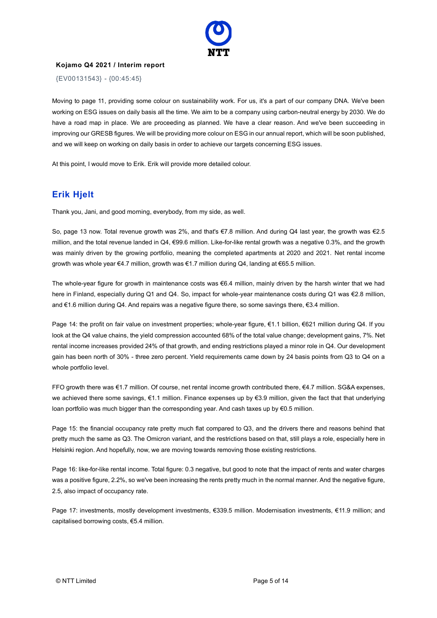

{EV00131543} - {00:45:45}

Moving to page 11, providing some colour on sustainability work. For us, it's a part of our company DNA. We've been working on ESG issues on daily basis all the time. We aim to be a company using carbon-neutral energy by 2030. We do have a road map in place. We are proceeding as planned. We have a clear reason. And we've been succeeding in improving our GRESB figures. We will be providing more colour on ESG in our annual report, which will be soon published, and we will keep on working on daily basis in order to achieve our targets concerning ESG issues.

At this point, I would move to Erik. Erik will provide more detailed colour.

# **Erik Hjelt**

Thank you, Jani, and good morning, everybody, from my side, as well.

So, page 13 now. Total revenue growth was 2%, and that's €7.8 million. And during Q4 last year, the growth was €2.5 million, and the total revenue landed in Q4, €99.6 million. Like-for-like rental growth was a negative 0.3%, and the growth was mainly driven by the growing portfolio, meaning the completed apartments at 2020 and 2021. Net rental income growth was whole year €4.7 million, growth was €1.7 million during Q4, landing at €65.5 million.

The whole-year figure for growth in maintenance costs was €6.4 million, mainly driven by the harsh winter that we had here in Finland, especially during Q1 and Q4. So, impact for whole-year maintenance costs during Q1 was €2.8 million, and €1.6 million during Q4. And repairs was a negative figure there, so some savings there, €3.4 million.

Page 14: the profit on fair value on investment properties; whole-year figure, €1.1 billion, €621 million during Q4. If you look at the Q4 value chains, the yield compression accounted 68% of the total value change; development gains, 7%. Net rental income increases provided 24% of that growth, and ending restrictions played a minor role in Q4. Our development gain has been north of 30% - three zero percent. Yield requirements came down by 24 basis points from Q3 to Q4 on a whole portfolio level.

FFO growth there was €1.7 million. Of course, net rental income growth contributed there, €4.7 million. SG&A expenses, we achieved there some savings, €1.1 million. Finance expenses up by €3.9 million, given the fact that that underlying loan portfolio was much bigger than the corresponding year. And cash taxes up by €0.5 million.

Page 15: the financial occupancy rate pretty much flat compared to Q3, and the drivers there and reasons behind that pretty much the same as Q3. The Omicron variant, and the restrictions based on that, still plays a role, especially here in Helsinki region. And hopefully, now, we are moving towards removing those existing restrictions.

Page 16: like-for-like rental income. Total figure: 0.3 negative, but good to note that the impact of rents and water charges was a positive figure, 2.2%, so we've been increasing the rents pretty much in the normal manner. And the negative figure, 2.5, also impact of occupancy rate.

Page 17: investments, mostly development investments, €339.5 million. Modernisation investments, €11.9 million; and capitalised borrowing costs, €5.4 million.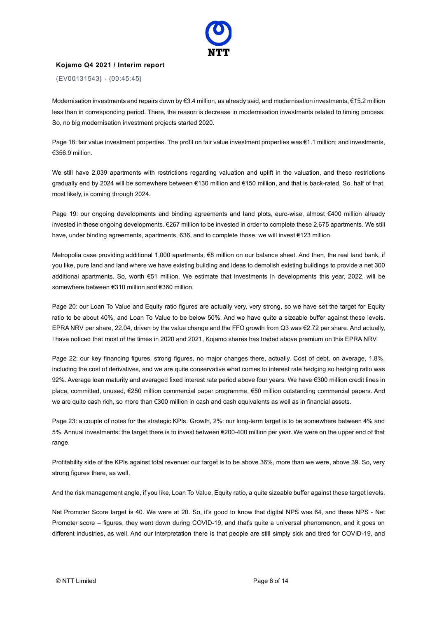

{EV00131543} - {00:45:45}

Modernisation investments and repairs down by €3.4 million, as already said, and modernisation investments, €15.2 million less than in corresponding period. There, the reason is decrease in modernisation investments related to timing process. So, no big modernisation investment projects started 2020.

Page 18: fair value investment properties. The profit on fair value investment properties was €1.1 million; and investments, €356.9 million.

We still have 2,039 apartments with restrictions regarding valuation and uplift in the valuation, and these restrictions gradually end by 2024 will be somewhere between €130 million and €150 million, and that is back-rated. So, half of that, most likely, is coming through 2024.

Page 19: our ongoing developments and binding agreements and land plots, euro-wise, almost €400 million already invested in these ongoing developments. €267 million to be invested in order to complete these 2,675 apartments. We still have, under binding agreements, apartments, 636, and to complete those, we will invest €123 million.

Metropolia case providing additional 1,000 apartments, €8 million on our balance sheet. And then, the real land bank, if you like, pure land and land where we have existing building and ideas to demolish existing buildings to provide a net 300 additional apartments. So, worth €51 million. We estimate that investments in developments this year, 2022, will be somewhere between €310 million and €360 million.

Page 20: our Loan To Value and Equity ratio figures are actually very, very strong, so we have set the target for Equity ratio to be about 40%, and Loan To Value to be below 50%. And we have quite a sizeable buffer against these levels. EPRA NRV per share, 22.04, driven by the value change and the FFO growth from Q3 was €2.72 per share. And actually, I have noticed that most of the times in 2020 and 2021, Kojamo shares has traded above premium on this EPRA NRV.

Page 22: our key financing figures, strong figures, no major changes there, actually. Cost of debt, on average, 1.8%, including the cost of derivatives, and we are quite conservative what comes to interest rate hedging so hedging ratio was 92%. Average loan maturity and averaged fixed interest rate period above four years. We have €300 million credit lines in place, committed, unused, €250 million commercial paper programme, €50 million outstanding commercial papers. And we are quite cash rich, so more than €300 million in cash and cash equivalents as well as in financial assets.

Page 23: a couple of notes for the strategic KPIs. Growth, 2%: our long-term target is to be somewhere between 4% and 5%. Annual investments: the target there is to invest between €200-400 million per year. We were on the upper end of that range.

Profitability side of the KPIs against total revenue: our target is to be above 36%, more than we were, above 39. So, very strong figures there, as well.

And the risk management angle, if you like, Loan To Value, Equity ratio, a quite sizeable buffer against these target levels.

Net Promoter Score target is 40. We were at 20. So, it's good to know that digital NPS was 64, and these NPS - Net Promoter score – figures, they went down during COVID-19, and that's quite a universal phenomenon, and it goes on different industries, as well. And our interpretation there is that people are still simply sick and tired for COVID-19, and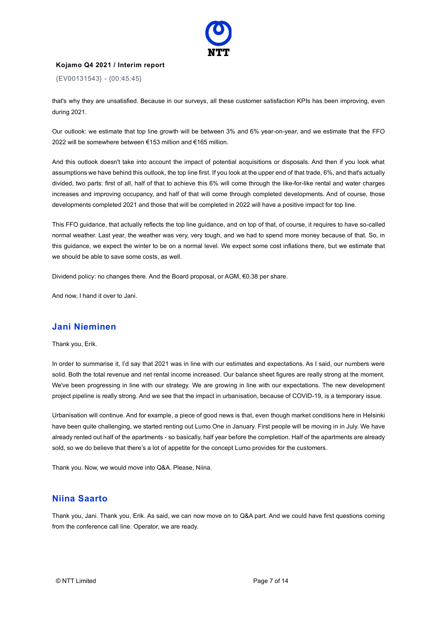

{EV00131543} - {00:45:45}

that's why they are unsatisfied. Because in our surveys, all these customer satisfaction KPIs has been improving, even during 2021.

Our outlook: we estimate that top line growth will be between 3% and 6% year-on-year, and we estimate that the FFO 2022 will be somewhere between €153 million and €165 million.

And this outlook doesn't take into account the impact of potential acquisitions or disposals. And then if you look what assumptions we have behind this outlook, the top line first. If you look at the upper end of that trade, 6%, and that's actually divided, two parts: first of all, half of that to achieve this 6% will come through the like-for-like rental and water charges increases and improving occupancy, and half of that will come through completed developments. And of course, those developments completed 2021 and those that will be completed in 2022 will have a positive impact for top line.

This FFO guidance, that actually reflects the top line guidance, and on top of that, of course, it requires to have so-called normal weather. Last year, the weather was very, very tough, and we had to spend more money because of that. So, in this guidance, we expect the winter to be on a normal level. We expect some cost inflations there, but we estimate that we should be able to save some costs, as well.

Dividend policy: no changes there. And the Board proposal, or AGM, €0.38 per share.

And now, I hand it over to Jani.

#### **Jani Nieminen**

Thank you, Erik.

In order to summarise it, I'd say that 2021 was in line with our estimates and expectations. As I said, our numbers were solid. Both the total revenue and net rental income increased. Our balance sheet figures are really strong at the moment. We've been progressing in line with our strategy. We are growing in line with our expectations. The new development project pipeline is really strong. And we see that the impact in urbanisation, because of COVID-19, is a temporary issue.

Urbanisation will continue. And for example, a piece of good news is that, even though market conditions here in Helsinki have been quite challenging, we started renting out Lumo One in January. First people will be moving in in July. We have already rented out half of the apartments - so basically, half year before the completion. Half of the apartments are already sold, so we do believe that there's a lot of appetite for the concept Lumo provides for the customers.

Thank you. Now, we would move into Q&A. Please, Niina.

#### **Niina Saarto**

Thank you, Jani. Thank you, Erik. As said, we can now move on to Q&A part. And we could have first questions coming from the conference call line. Operator, we are ready.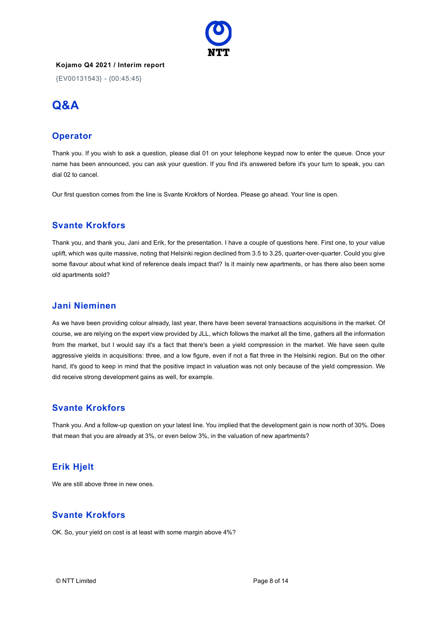

{EV00131543} - {00:45:45}

# **Q&A**

# **Operator**

Thank you. If you wish to ask a question, please dial 01 on your telephone keypad now to enter the queue. Once your name has been announced, you can ask your question. If you find it's answered before it's your turn to speak, you can dial 02 to cancel.

Our first question comes from the line is Svante Krokfors of Nordea. Please go ahead. Your line is open.

# **Svante Krokfors**

Thank you, and thank you, Jani and Erik, for the presentation. I have a couple of questions here. First one, to your value uplift, which was quite massive, noting that Helsinki region declined from 3.5 to 3.25, quarter-over-quarter. Could you give some flavour about what kind of reference deals impact that? Is it mainly new apartments, or has there also been some old apartments sold?

# **Jani Nieminen**

As we have been providing colour already, last year, there have been several transactions acquisitions in the market. Of course, we are relying on the expert view provided by JLL, which follows the market all the time, gathers all the information from the market, but I would say it's a fact that there's been a yield compression in the market. We have seen quite aggressive yields in acquisitions: three, and a low figure, even if not a flat three in the Helsinki region. But on the other hand, it's good to keep in mind that the positive impact in valuation was not only because of the yield compression. We did receive strong development gains as well, for example.

# **Svante Krokfors**

Thank you. And a follow-up question on your latest line. You implied that the development gain is now north of 30%. Does that mean that you are already at 3%, or even below 3%, in the valuation of new apartments?

# **Erik Hjelt**

We are still above three in new ones.

# **Svante Krokfors**

OK. So, your yield on cost is at least with some margin above 4%?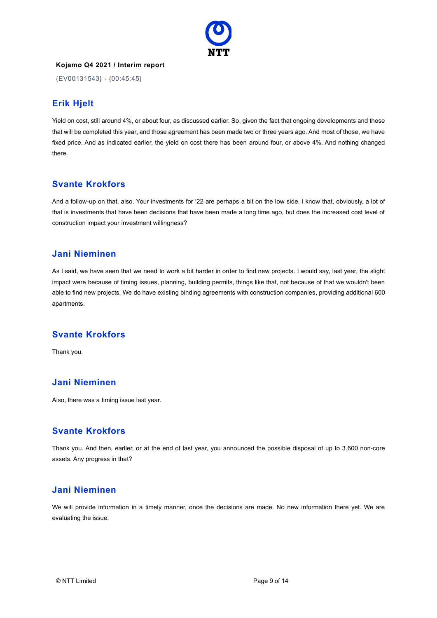

{EV00131543} - {00:45:45}

# **Erik Hjelt**

Yield on cost, still around 4%, or about four, as discussed earlier. So, given the fact that ongoing developments and those that will be completed this year, and those agreement has been made two or three years ago. And most of those, we have fixed price. And as indicated earlier, the yield on cost there has been around four, or above 4%. And nothing changed there.

# **Svante Krokfors**

And a follow-up on that, also. Your investments for '22 are perhaps a bit on the low side. I know that, obviously, a lot of that is investments that have been decisions that have been made a long time ago, but does the increased cost level of construction impact your investment willingness?

#### **Jani Nieminen**

As I said, we have seen that we need to work a bit harder in order to find new projects. I would say, last year, the slight impact were because of timing issues, planning, building permits, things like that, not because of that we wouldn't been able to find new projects. We do have existing binding agreements with construction companies, providing additional 600 apartments.

# **Svante Krokfors**

Thank you.

# **Jani Nieminen**

Also, there was a timing issue last year.

# **Svante Krokfors**

Thank you. And then, earlier, or at the end of last year, you announced the possible disposal of up to 3,600 non-core assets. Any progress in that?

#### **Jani Nieminen**

We will provide information in a timely manner, once the decisions are made. No new information there yet. We are evaluating the issue.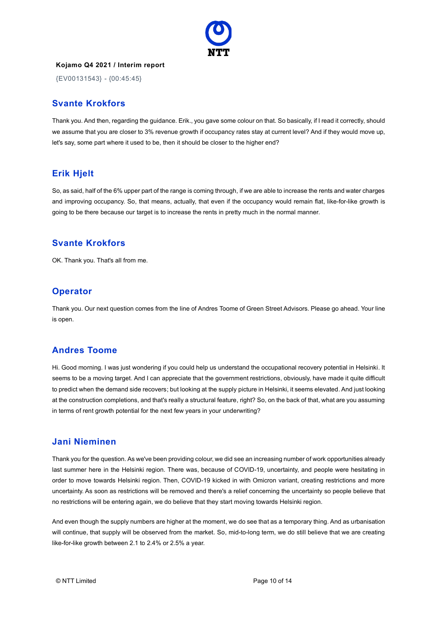

{EV00131543} - {00:45:45}

#### **Svante Krokfors**

Thank you. And then, regarding the guidance. Erik., you gave some colour on that. So basically, if I read it correctly, should we assume that you are closer to 3% revenue growth if occupancy rates stay at current level? And if they would move up, let's say, some part where it used to be, then it should be closer to the higher end?

# **Erik Hjelt**

So, as said, half of the 6% upper part of the range is coming through, if we are able to increase the rents and water charges and improving occupancy. So, that means, actually, that even if the occupancy would remain flat, like-for-like growth is going to be there because our target is to increase the rents in pretty much in the normal manner.

# **Svante Krokfors**

OK. Thank you. That's all from me.

# **Operator**

Thank you. Our next question comes from the line of Andres Toome of Green Street Advisors. Please go ahead. Your line is open.

# **Andres Toome**

Hi. Good morning. I was just wondering if you could help us understand the occupational recovery potential in Helsinki. It seems to be a moving target. And I can appreciate that the government restrictions, obviously, have made it quite difficult to predict when the demand side recovers; but looking at the supply picture in Helsinki, it seems elevated. And just looking at the construction completions, and that's really a structural feature, right? So, on the back of that, what are you assuming in terms of rent growth potential for the next few years in your underwriting?

#### **Jani Nieminen**

Thank you for the question. As we've been providing colour, we did see an increasing number of work opportunities already last summer here in the Helsinki region. There was, because of COVID-19, uncertainty, and people were hesitating in order to move towards Helsinki region. Then, COVID-19 kicked in with Omicron variant, creating restrictions and more uncertainty. As soon as restrictions will be removed and there's a relief concerning the uncertainty so people believe that no restrictions will be entering again, we do believe that they start moving towards Helsinki region.

And even though the supply numbers are higher at the moment, we do see that as a temporary thing. And as urbanisation will continue, that supply will be observed from the market. So, mid-to-long term, we do still believe that we are creating like-for-like growth between 2.1 to 2.4% or 2.5% a year.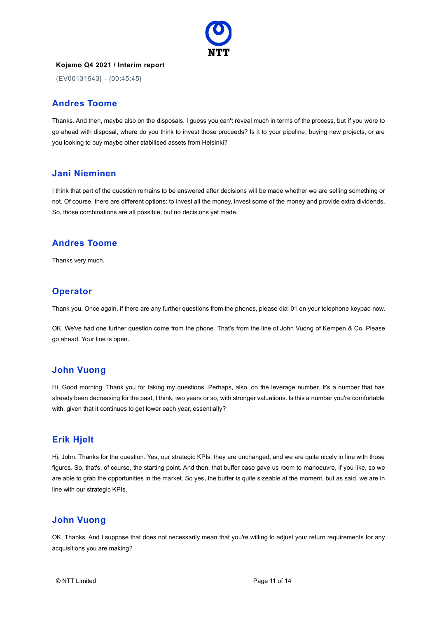

{EV00131543} - {00:45:45}

#### **Andres Toome**

Thanks. And then, maybe also on the disposals. I guess you can't reveal much in terms of the process, but if you were to go ahead with disposal, where do you think to invest those proceeds? Is it to your pipeline, buying new projects, or are you looking to buy maybe other stabilised assets from Helsinki?

#### **Jani Nieminen**

I think that part of the question remains to be answered after decisions will be made whether we are selling something or not. Of course, there are different options: to invest all the money, invest some of the money and provide extra dividends. So, those combinations are all possible, but no decisions yet made.

# **Andres Toome**

Thanks very much.

# **Operator**

Thank you. Once again, if there are any further questions from the phones, please dial 01 on your telephone keypad now.

OK. We've had one further question come from the phone. That's from the line of John Vuong of Kempen & Co. Please go ahead. Your line is open.

#### **John Vuong**

Hi. Good morning. Thank you for taking my questions. Perhaps, also, on the leverage number. It's a number that has already been decreasing for the past, I think, two years or so, with stronger valuations. Is this a number you're comfortable with, given that it continues to get lower each year, essentially?

# **Erik Hjelt**

Hi, John. Thanks for the question. Yes, our strategic KPIs, they are unchanged, and we are quite nicely in line with those figures. So, that's, of course, the starting point. And then, that buffer case gave us room to manoeuvre, if you like, so we are able to grab the opportunities in the market. So yes, the buffer is quite sizeable at the moment, but as said, we are in line with our strategic KPIs.

# **John Vuong**

OK. Thanks. And I suppose that does not necessarily mean that you're willing to adjust your return requirements for any acquisitions you are making?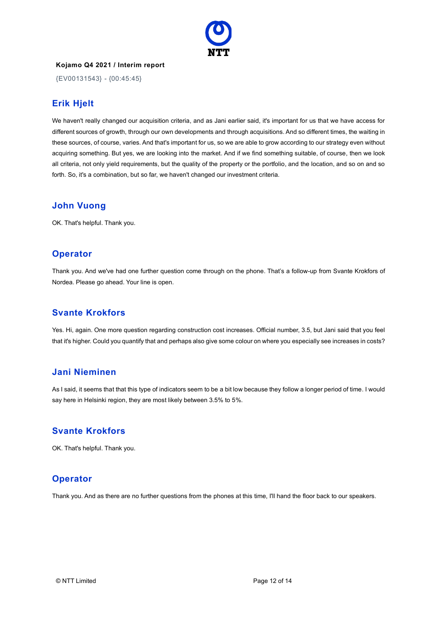

{EV00131543} - {00:45:45}

# **Erik Hjelt**

We haven't really changed our acquisition criteria, and as Jani earlier said, it's important for us that we have access for different sources of growth, through our own developments and through acquisitions. And so different times, the waiting in these sources, of course, varies. And that's important for us, so we are able to grow according to our strategy even without acquiring something. But yes, we are looking into the market. And if we find something suitable, of course, then we look all criteria, not only yield requirements, but the quality of the property or the portfolio, and the location, and so on and so forth. So, it's a combination, but so far, we haven't changed our investment criteria.

#### **John Vuong**

OK. That's helpful. Thank you.

# **Operator**

Thank you. And we've had one further question come through on the phone. That's a follow-up from Svante Krokfors of Nordea. Please go ahead. Your line is open.

# **Svante Krokfors**

Yes. Hi, again. One more question regarding construction cost increases. Official number, 3.5, but Jani said that you feel that it's higher. Could you quantify that and perhaps also give some colour on where you especially see increases in costs?

# **Jani Nieminen**

As I said, it seems that that this type of indicators seem to be a bit low because they follow a longer period of time. I would say here in Helsinki region, they are most likely between 3.5% to 5%.

# **Svante Krokfors**

OK. That's helpful. Thank you.

# **Operator**

Thank you. And as there are no further questions from the phones at this time, I'll hand the floor back to our speakers.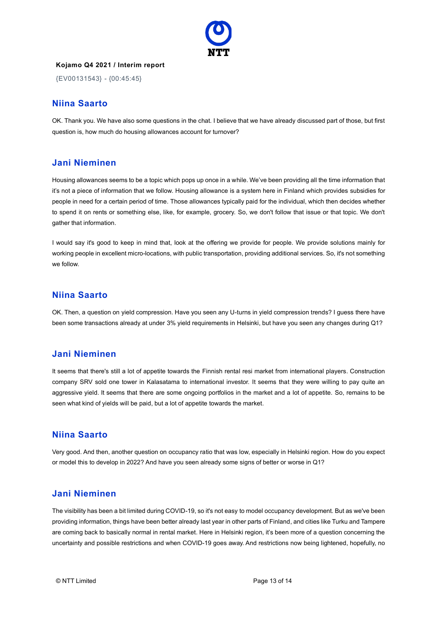

{EV00131543} - {00:45:45}

#### **Niina Saarto**

OK. Thank you. We have also some questions in the chat. I believe that we have already discussed part of those, but first question is, how much do housing allowances account for turnover?

#### **Jani Nieminen**

Housing allowances seems to be a topic which pops up once in a while. We've been providing all the time information that it's not a piece of information that we follow. Housing allowance is a system here in Finland which provides subsidies for people in need for a certain period of time. Those allowances typically paid for the individual, which then decides whether to spend it on rents or something else, like, for example, grocery. So, we don't follow that issue or that topic. We don't gather that information.

I would say it's good to keep in mind that, look at the offering we provide for people. We provide solutions mainly for working people in excellent micro-locations, with public transportation, providing additional services. So, it's not something we follow.

#### **Niina Saarto**

OK. Then, a question on yield compression. Have you seen any U-turns in yield compression trends? I guess there have been some transactions already at under 3% yield requirements in Helsinki, but have you seen any changes during Q1?

#### **Jani Nieminen**

It seems that there's still a lot of appetite towards the Finnish rental resi market from international players. Construction company SRV sold one tower in Kalasatama to international investor. It seems that they were willing to pay quite an aggressive yield. It seems that there are some ongoing portfolios in the market and a lot of appetite. So, remains to be seen what kind of yields will be paid, but a lot of appetite towards the market.

#### **Niina Saarto**

Very good. And then, another question on occupancy ratio that was low, especially in Helsinki region. How do you expect or model this to develop in 2022? And have you seen already some signs of better or worse in Q1?

#### **Jani Nieminen**

The visibility has been a bit limited during COVID-19, so it's not easy to model occupancy development. But as we've been providing information, things have been better already last year in other parts of Finland, and cities like Turku and Tampere are coming back to basically normal in rental market. Here in Helsinki region, it's been more of a question concerning the uncertainty and possible restrictions and when COVID-19 goes away. And restrictions now being lightened, hopefully, no